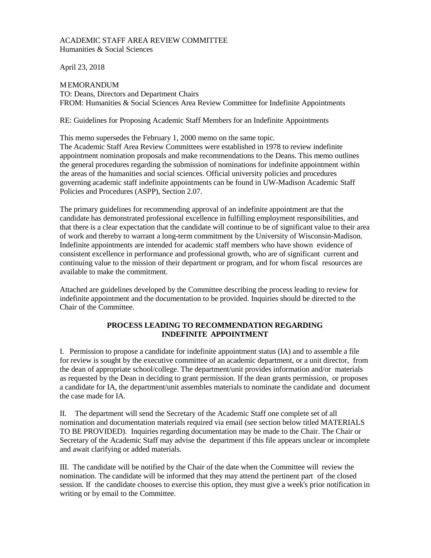#### ACADEMIC STAFF AREA REVIEW COMMITTEE Humanities & Social Sciences

April 23, 2018

MEMORANDUM TO: Deans, Directors and Department Chairs FROM: Humanities & Social Sciences Area Review Committee for Indefinite Appointments

RE: Guidelines for Proposing Academic Staff Members for an Indefinite Appointments

This memo supersedes the February 1, 2000 memo on the same topic.

The Academic Staff Area Review Committees were established in 1978 to review indefinite appointment nomination proposals and make recommendations to the Deans. This memo outlines the general procedures regarding the submission of nominations for indefinite appointment within the areas of the humanities and social sciences. Official university policies and procedures governing academic staff indefinite appointments can be found in UW-Madison Academic Staff Policies and Procedures (ASPP), Section 2.07.

The primary guidelines for recommending approval of an indefinite appointment are that the candidate has demonstrated professional excellence in fulfilling employment responsibilities, and that there is a clear expectation that the candidate will continue to be of significant value to their area of work and thereby to warrant a long-term commitment by the University of Wisconsin-Madison. Indefinite appointments are intended for academic staff members who have shown evidence of consistent excellence in performance and professional growth, who are of significant current and continuing value to the mission of their department or program, and for whom fiscal resources are available to make the commitment.

Attached are guidelines developed by the Committee describing the process leading to review for indefinite appointment and the documentation to be provided. Inquiries should be directed to the Chair of the Committee.

## **PROCESS LEADING TO RECOMMENDATION REGARDING INDEFINITE APPOINTMENT**

I. Permission to propose a candidate for indefinite appointment status (IA) and to assemble a file for review is sought by the executive committee of an academic department, or a unit director, from the dean of appropriate school/college. The department/unit provides information and/or materials as requested by the Dean in deciding to grant permission. If the dean grants permission, or proposes a candidate for IA, the department/unit assembles materials to nominate the candidate and document the case made for IA.

II. The department will send the Secretary of the Academic Staff one complete set of all nomination and documentation materials required via email (see section below titled MATERIALS TO BE PROVIDED). Inquiries regarding documentation may be made to the Chair. The Chair or Secretary of the Academic Staff may advise the department if this file appears unclear or incomplete and await clarifying or added materials.

III. The candidate will be notified by the Chair of the date when the Committee will review the nomination. The candidate will be informed that they may attend the pertinent part of the closed session. If the candidate chooses to exercise this option, they must give a week's prior notification in writing or by email to the Committee.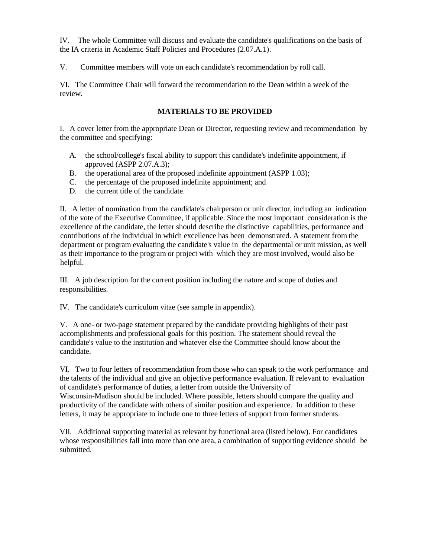IV. The whole Committee will discuss and evaluate the candidate's qualifications on the basis of the IA criteria in Academic Staff Policies and Procedures (2.07.A.1).

V. Committee members will vote on each candidate's recommendation by roll call.

VI. The Committee Chair will forward the recommendation to the Dean within a week of the review.

## **MATERIALS TO BE PROVIDED**

I. A cover letter from the appropriate Dean or Director, requesting review and recommendation by the committee and specifying:

- A. the school/college's fiscal ability to support this candidate's indefinite appointment, if approved (ASPP 2.07.A.3);
- B. the operational area of the proposed indefinite appointment (ASPP 1.03);
- C. the percentage of the proposed indefinite appointment; and
- D. the current title of the candidate.

II. A letter of nomination from the candidate's chairperson or unit director, including an indication of the vote of the Executive Committee, if applicable. Since the most important consideration is the excellence of the candidate, the letter should describe the distinctive capabilities, performance and contributions of the individual in which excellence has been demonstrated. A statement from the department or program evaluating the candidate's value in the departmental or unit mission, as well as their importance to the program or project with which they are most involved, would also be helpful.

III. A job description for the current position including the nature and scope of duties and responsibilities.

IV. The candidate's curriculum vitae (see sample in appendix).

V. A one- or two-page statement prepared by the candidate providing highlights of their past accomplishments and professional goals for this position. The statement should reveal the candidate's value to the institution and whatever else the Committee should know about the candidate.

VI. Two to four letters of recommendation from those who can speak to the work performance and the talents of the individual and give an objective performance evaluation. If relevant to evaluation of candidate's performance of duties, a letter from outside the University of Wisconsin-Madison should be included. Where possible, letters should compare the quality and productivity of the candidate with others of similar position and experience. In addition to these letters, it may be appropriate to include one to three letters of support from former students.

VII. Additional supporting material as relevant by functional area (listed below). For candidates whose responsibilities fall into more than one area, a combination of supporting evidence should be submitted.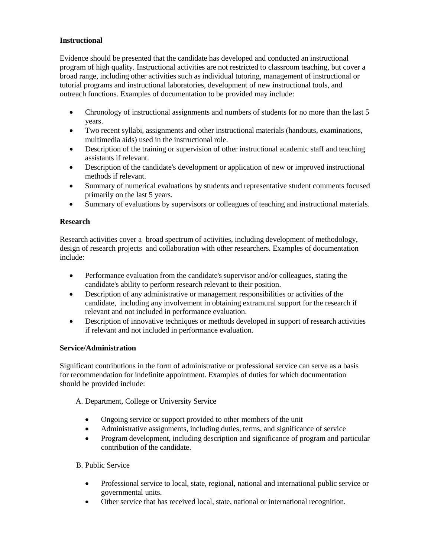# **Instructional**

Evidence should be presented that the candidate has developed and conducted an instructional program of high quality. Instructional activities are not restricted to classroom teaching, but cover a broad range, including other activities such as individual tutoring, management of instructional or tutorial programs and instructional laboratories, development of new instructional tools, and outreach functions. Examples of documentation to be provided may include:

- Chronology of instructional assignments and numbers of students for no more than the last 5 years.
- Two recent syllabi, assignments and other instructional materials (handouts, examinations, multimedia aids) used in the instructional role.
- Description of the training or supervision of other instructional academic staff and teaching assistants if relevant.
- Description of the candidate's development or application of new or improved instructional methods if relevant.
- Summary of numerical evaluations by students and representative student comments focused primarily on the last 5 years.
- Summary of evaluations by supervisors or colleagues of teaching and instructional materials.

## **Research**

Research activities cover a broad spectrum of activities, including development of methodology, design of research projects and collaboration with other researchers. Examples of documentation include:

- Performance evaluation from the candidate's supervisor and/or colleagues, stating the candidate's ability to perform research relevant to their position.
- Description of any administrative or management responsibilities or activities of the candidate, including any involvement in obtaining extramural support for the research if relevant and not included in performance evaluation.
- Description of innovative techniques or methods developed in support of research activities if relevant and not included in performance evaluation.

### **Service/Administration**

Significant contributions in the form of administrative or professional service can serve as a basis for recommendation for indefinite appointment. Examples of duties for which documentation should be provided include:

A. Department, College or University Service

- Ongoing service or support provided to other members of the unit
- Administrative assignments, including duties, terms, and significance of service
- Program development, including description and significance of program and particular contribution of the candidate.

# B. Public Service

- Professional service to local, state, regional, national and international public service or governmental units.
- Other service that has received local, state, national or international recognition.